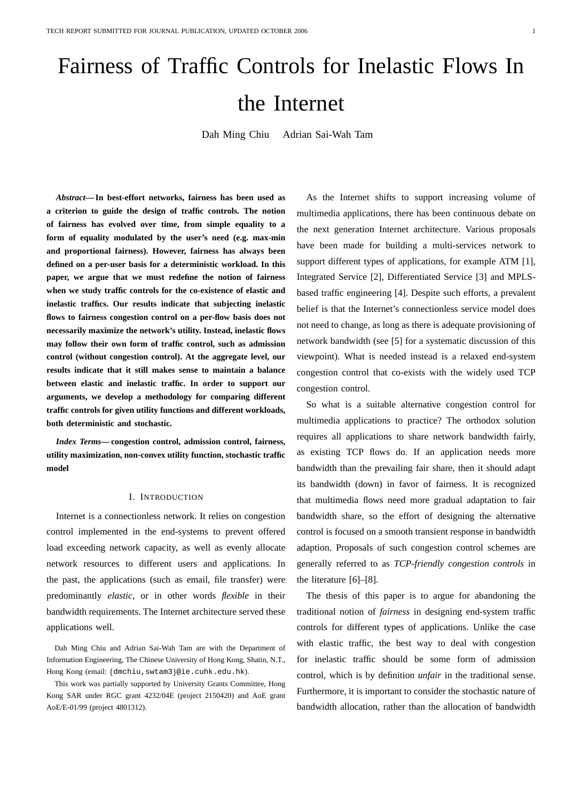# Fairness of Traffic Controls for Inelastic Flows In the Internet

Dah Ming Chiu Adrian Sai-Wah Tam

*Abstract***—In best-effort networks, fairness has been used as a criterion to guide the design of traffic controls. The notion of fairness has evolved over time, from simple equality to a form of equality modulated by the user's need (e.g. max-min and proportional fairness). However, fairness has always been defined on a per-user basis for a deterministic workload. In this paper, we argue that we must redefine the notion of fairness when we study traffic controls for the co-existence of elastic and inelastic traffics. Our results indicate that subjecting inelastic flows to fairness congestion control on a per-flow basis does not necessarily maximize the network's utility. Instead, inelastic flows may follow their own form of traffic control, such as admission control (without congestion control). At the aggregate level, our results indicate that it still makes sense to maintain a balance between elastic and inelastic traffic. In order to support our arguments, we develop a methodology for comparing different traffic controls for given utility functions and different workloads, both deterministic and stochastic.**

*Index Terms***—congestion control, admission control, fairness, utility maximization, non-convex utility function, stochastic traffic model**

#### I. INTRODUCTION

Internet is a connectionless network. It relies on congestion control implemented in the end-systems to prevent offered load exceeding network capacity, as well as evenly allocate network resources to different users and applications. In the past, the applications (such as email, file transfer) were predominantly *elastic*, or in other words *flexible* in their bandwidth requirements. The Internet architecture served these applications well.

Dah Ming Chiu and Adrian Sai-Wah Tam are with the Department of Information Engineering, The Chinese University of Hong Kong, Shatin, N.T., Hong Kong (email: dmchiu,swtam3 @ie.cuhk.edu.hk).

This work was partially supported by University Grants Committee, Hong Kong SAR under RGC grant 4232/04E (project 2150420) and AoE grant AoE/E-01/99 (project 4801312).

As the Internet shifts to support increasing volume of multimedia applications, there has been continuous debate on the next generation Internet architecture. Various proposals have been made for building a multi-services network to support different types of applications, for example ATM [1], Integrated Service [2], Differentiated Service [3] and MPLSbased traffic engineering [4]. Despite such efforts, a prevalent belief is that the Internet's connectionless service model does not need to change, as long as there is adequate provisioning of network bandwidth (see [5] for a systematic discussion of this viewpoint). What is needed instead is a relaxed end-system congestion control that co-exists with the widely used TCP congestion control.

So what is a suitable alternative congestion control for multimedia applications to practice? The orthodox solution requires all applications to share network bandwidth fairly, as existing TCP flows do. If an application needs more bandwidth than the prevailing fair share, then it should adapt its bandwidth (down) in favor of fairness. It is recognized that multimedia flows need more gradual adaptation to fair bandwidth share, so the effort of designing the alternative control is focused on a smooth transient response in bandwidth adaption. Proposals of such congestion control schemes are generally referred to as *TCP-friendly congestion controls* in the literature [6]–[8].

The thesis of this paper is to argue for abandoning the traditional notion of *fairness* in designing end-system traffic controls for different types of applications. Unlike the case with elastic traffic, the best way to deal with congestion for inelastic traffic should be some form of admission control, which is by definition *unfair* in the traditional sense. Furthermore, it is important to consider the stochastic nature of bandwidth allocation, rather than the allocation of bandwidth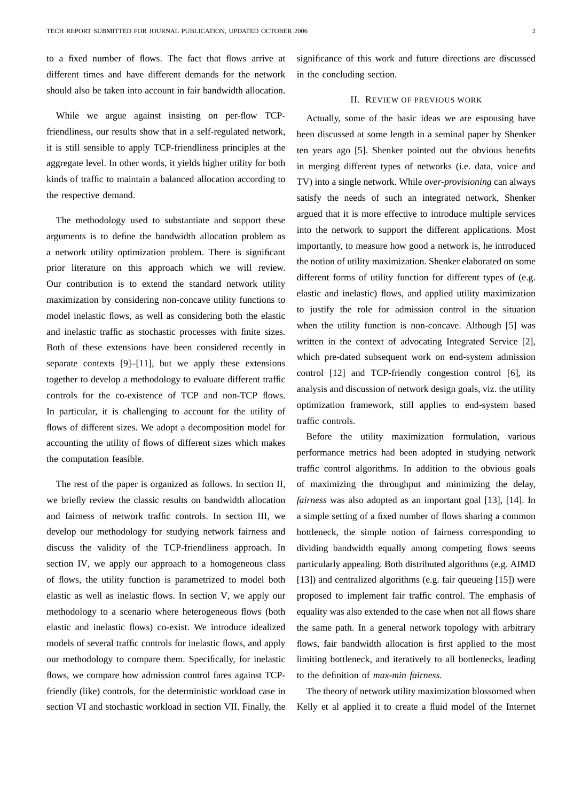to a fixed number of flows. The fact that flows arrive at different times and have different demands for the network should also be taken into account in fair bandwidth allocation.

While we argue against insisting on per-flow TCPfriendliness, our results show that in a self-regulated network, it is still sensible to apply TCP-friendliness principles at the aggregate level. In other words, it yields higher utility for both kinds of traffic to maintain a balanced allocation according to the respective demand.

The methodology used to substantiate and support these arguments is to define the bandwidth allocation problem as a network utility optimization problem. There is significant prior literature on this approach which we will review. Our contribution is to extend the standard network utility maximization by considering non-concave utility functions to model inelastic flows, as well as considering both the elastic and inelastic traffic as stochastic processes with finite sizes. Both of these extensions have been considered recently in separate contexts [9]–[11], but we apply these extensions together to develop a methodology to evaluate different traffic controls for the co-existence of TCP and non-TCP flows. In particular, it is challenging to account for the utility of flows of different sizes. We adopt a decomposition model for accounting the utility of flows of different sizes which makes the computation feasible.

The rest of the paper is organized as follows. In section II, we briefly review the classic results on bandwidth allocation and fairness of network traffic controls. In section III, we develop our methodology for studying network fairness and discuss the validity of the TCP-friendliness approach. In section IV, we apply our approach to a homogeneous class of flows, the utility function is parametrized to model both elastic as well as inelastic flows. In section V, we apply our methodology to a scenario where heterogeneous flows (both elastic and inelastic flows) co-exist. We introduce idealized models of several traffic controls for inelastic flows, and apply our methodology to compare them. Specifically, for inelastic flows, we compare how admission control fares against TCPfriendly (like) controls, for the deterministic workload case in section VI and stochastic workload in section VII. Finally, the significance of this work and future directions are discussed in the concluding section.

# II. REVIEW OF PREVIOUS WORK

Actually, some of the basic ideas we are espousing have been discussed at some length in a seminal paper by Shenker ten years ago [5]. Shenker pointed out the obvious benefits in merging different types of networks (i.e. data, voice and TV) into a single network. While *over-provisioning* can always satisfy the needs of such an integrated network, Shenker argued that it is more effective to introduce multiple services into the network to support the different applications. Most importantly, to measure how good a network is, he introduced the notion of utility maximization. Shenker elaborated on some different forms of utility function for different types of (e.g. elastic and inelastic) flows, and applied utility maximization to justify the role for admission control in the situation when the utility function is non-concave. Although [5] was written in the context of advocating Integrated Service [2], which pre-dated subsequent work on end-system admission control [12] and TCP-friendly congestion control [6], its analysis and discussion of network design goals, viz. the utility optimization framework, still applies to end-system based traffic controls.

Before the utility maximization formulation, various performance metrics had been adopted in studying network traffic control algorithms. In addition to the obvious goals of maximizing the throughput and minimizing the delay, *fairness* was also adopted as an important goal [13], [14]. In a simple setting of a fixed number of flows sharing a common bottleneck, the simple notion of fairness corresponding to dividing bandwidth equally among competing flows seems particularly appealing. Both distributed algorithms (e.g. AIMD [13]) and centralized algorithms (e.g. fair queueing [15]) were proposed to implement fair traffic control. The emphasis of equality was also extended to the case when not all flows share the same path. In a general network topology with arbitrary flows, fair bandwidth allocation is first applied to the most limiting bottleneck, and iteratively to all bottlenecks, leading to the definition of *max-min fairness*.

The theory of network utility maximization blossomed when Kelly et al applied it to create a fluid model of the Internet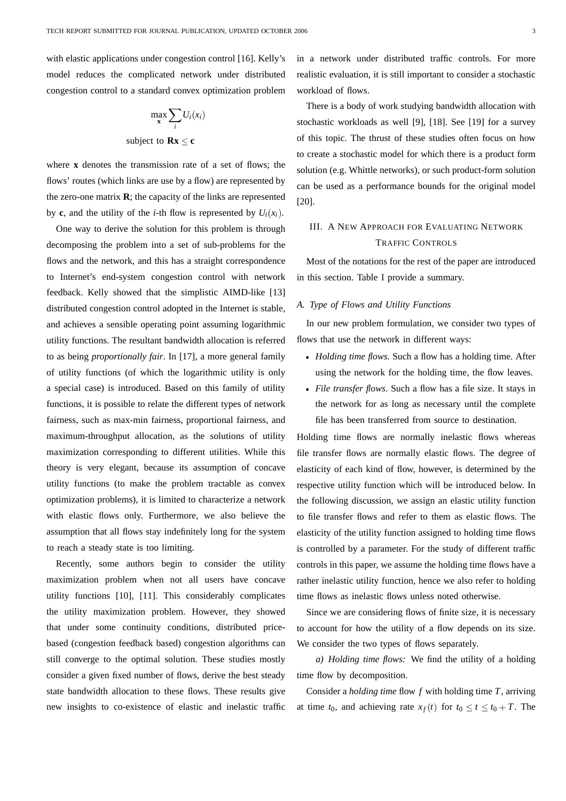with elastic applications under congestion control [16]. Kelly's model reduces the complicated network under distributed congestion control to a standard convex optimization problem

$$
\max_{\mathbf{x}} \sum_{i} U_i(x_i)
$$
  
subject to  $\mathbf{R}\mathbf{x} \leq \mathbf{c}$ 

where **x** denotes the transmission rate of a set of flows; the flows' routes (which links are use by a flow) are represented by the zero-one matrix **R**; the capacity of the links are represented by **c**, and the utility of the *i*-th flow is represented by  $U_i(x_i)$ .

One way to derive the solution for this problem is through decomposing the problem into a set of sub-problems for the flows and the network, and this has a straight correspondence to Internet's end-system congestion control with network feedback. Kelly showed that the simplistic AIMD-like [13] distributed congestion control adopted in the Internet is stable, and achieves a sensible operating point assuming logarithmic utility functions. The resultant bandwidth allocation is referred to as being *proportionally fair*. In [17], a more general family of utility functions (of which the logarithmic utility is only a special case) is introduced. Based on this family of utility functions, it is possible to relate the different types of network fairness, such as max-min fairness, proportional fairness, and maximum-throughput allocation, as the solutions of utility maximization corresponding to different utilities. While this theory is very elegant, because its assumption of concave utility functions (to make the problem tractable as convex optimization problems), it is limited to characterize a network with elastic flows only. Furthermore, we also believe the assumption that all flows stay indefinitely long for the system to reach a steady state is too limiting.

Recently, some authors begin to consider the utility maximization problem when not all users have concave utility functions [10], [11]. This considerably complicates the utility maximization problem. However, they showed that under some continuity conditions, distributed pricebased (congestion feedback based) congestion algorithms can still converge to the optimal solution. These studies mostly consider a given fixed number of flows, derive the best steady state bandwidth allocation to these flows. These results give new insights to co-existence of elastic and inelastic traffic in a network under distributed traffic controls. For more realistic evaluation, it is still important to consider a stochastic workload of flows.

There is a body of work studying bandwidth allocation with stochastic workloads as well [9], [18]. See [19] for a survey of this topic. The thrust of these studies often focus on how to create a stochastic model for which there is a product form solution (e.g. Whittle networks), or such product-form solution can be used as a performance bounds for the original model [20].

# III. A NEW APPROACH FOR EVALUATING NETWORK TRAFFIC CONTROLS

Most of the notations for the rest of the paper are introduced in this section. Table I provide a summary.

## *A. Type of Flows and Utility Functions*

In our new problem formulation, we consider two types of flows that use the network in different ways:

- *Holding time flows*. Such a flow has a holding time. After using the network for the holding time, the flow leaves.
- *File transfer flows*. Such a flow has a file size. It stays in the network for as long as necessary until the complete file has been transferred from source to destination.

Holding time flows are normally inelastic flows whereas file transfer flows are normally elastic flows. The degree of elasticity of each kind of flow, however, is determined by the respective utility function which will be introduced below. In the following discussion, we assign an elastic utility function to file transfer flows and refer to them as elastic flows. The elasticity of the utility function assigned to holding time flows is controlled by a parameter. For the study of different traffic controls in this paper, we assume the holding time flows have a rather inelastic utility function, hence we also refer to holding time flows as inelastic flows unless noted otherwise.

Since we are considering flows of finite size, it is necessary to account for how the utility of a flow depends on its size. We consider the two types of flows separately.

*a) Holding time flows:* We find the utility of a holding time flow by decomposition.

Consider a *holding time* flow *f* with holding time *T*, arriving at time  $t_0$ , and achieving rate  $x_f(t)$  for  $t_0 \le t \le t_0 + T$ . The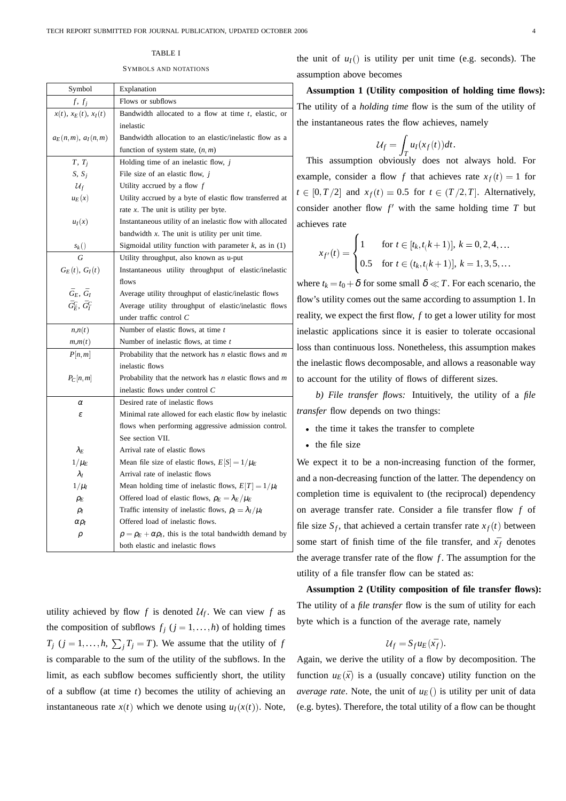#### TABLE I

SYMBOLS AND NOTATIONS

| Symbol                              | Explanation                                                             |
|-------------------------------------|-------------------------------------------------------------------------|
| $f,\,f_j$                           | Flows or subflows                                                       |
| $\overline{x(t), x_F(t), x_I(t)}$   | Bandwidth allocated to a flow at time $t$ , elastic, or                 |
|                                     | inelastic                                                               |
| $a_E(n,m), a_I(n,m)$                | Bandwidth allocation to an elastic/inelastic flow as a                  |
|                                     | function of system state, $(n, m)$                                      |
| $T, T_i$                            | Holding time of an inelastic flow, $j$                                  |
| $S, S_i$                            | File size of an elastic flow, j                                         |
| $\mathcal{U}_f$                     | Utility accrued by a flow $f$                                           |
| $u_E(x)$                            | Utility accrued by a byte of elastic flow transferred at                |
|                                     | rate $x$ . The unit is utility per byte.                                |
| $u_I(x)$                            | Instantaneous utility of an inelastic flow with allocated               |
|                                     | bandwidth $x$ . The unit is utility per unit time.                      |
|                                     | Sigmoidal utility function with parameter $k$ , as in (1)               |
| $\frac{s_k()}{G}$                   | Utility throughput, also known as u-put                                 |
| $G_E(t)$ , $G_I(t)$                 | Instantaneous utility throughput of elastic/inelastic                   |
|                                     | flows                                                                   |
| $\bar{G}_E, \bar{G}_I$              | Average utility throughput of elastic/inelastic flows                   |
| $\bar{G}_{F}^{C},\,\bar{G}_{I}^{C}$ | Average utility throughput of elastic/inelastic flows                   |
|                                     | under traffic control $C$                                               |
| n, n(t)                             | Number of elastic flows, at time t                                      |
| m,m(t)                              | Number of inelastic flows, at time t                                    |
| P[n, m]                             | Probability that the network has $n$ elastic flows and $m$              |
|                                     | inelastic flows                                                         |
| $P_C[n,m]$                          | Probability that the network has $n$ elastic flows and $m$              |
|                                     | inelastic flows under control $C$                                       |
| $\alpha$                            | Desired rate of inelastic flows                                         |
| ε                                   | Minimal rate allowed for each elastic flow by inelastic                 |
|                                     | flows when performing aggressive admission control.                     |
|                                     | See section VII.                                                        |
| $\lambda_E$                         | Arrival rate of elastic flows                                           |
| $1/\mu_E$                           | Mean file size of elastic flows, $E[S] = 1/\mu_E$                       |
| $\lambda_I$                         | Arrival rate of inelastic flows                                         |
| $1/\mu_I$                           | Mean holding time of inelastic flows, $E[T] = 1/\mu_I$                  |
| $\rho_E$                            | Offered load of elastic flows, $\rho_E = \lambda_E / \mu_E$             |
| $\rho_I$                            | Traffic intensity of inelastic flows, $\rho_I = \lambda_I / \mu_I$      |
| $\alpha \rho_I$                     | Offered load of inelastic flows.                                        |
| ρ                                   | $\rho = \rho_E + \alpha \rho_I$ , this is the total bandwidth demand by |
|                                     | both elastic and inelastic flows                                        |

utility achieved by flow f is denoted  $\mathcal{U}_f$ . We can view f as the composition of subflows  $f_j$  ( $j = 1, ..., h$ ) of holding times *T*<sub>*j*</sub> (*j* = 1,...,*h*,  $\sum_{j} T_{j} = T$ ). We assume that the utility of *f* is comparable to the sum of the utility of the subflows. In the limit, as each subflow becomes sufficiently short, the utility of a subflow (at time *t*) becomes the utility of achieving an instantaneous rate  $x(t)$  which we denote using  $u_I(x(t))$ . Note,

the unit of  $u_I()$  is utility per unit time (e.g. seconds). The assumption above becomes

**Assumption 1 (Utility composition of holding time flows):** The utility of a *holding time* flow is the sum of the utility of the instantaneous rates the flow achieves, namely

$$
\mathcal{U}_f = \int_{T} u_I(x_f(t)) dt.
$$

*IT*This assumption obviously does not always hold. For example, consider a flow *f* that achieves rate  $x_f(t) = 1$  for  $t \in [0, T/2]$  and  $x_f(t) = 0.5$  for  $t \in (T/2, T]$ . Alternatively, consider another flow  $f'$  with the same holding time  $T$  but achieves rate

$$
x_{f'}(t) = \begin{cases} 1 & \text{for } t \in [t_k, t(k+1)], \ k = 0, 2, 4, \dots \\ 0.5 & \text{for } t \in (t_k, t(k+1)], \ k = 1, 3, 5, \dots \end{cases}
$$

where  $t_k = t_0 + \delta$  for some small  $\delta \ll T$ . For each scenario, the flow's utility comes out the same according to assumption 1. In reality, we expect the first flow, *f* to get a lower utility for most inelastic applications since it is easier to tolerate occasional loss than continuous loss. Nonetheless, this assumption makes the inelastic flows decomposable, and allows a reasonable way to account for the utility of flows of different sizes.

*b) File transfer flows:* Intuitively, the utility of a *file transfer* flow depends on two things:

- the time it takes the transfer to complete
- the file size

We expect it to be a non-increasing function of the former, and a non-decreasing function of the latter. The dependency on completion time is equivalent to (the reciprocal) dependency on average transfer rate. Consider a file transfer flow *f* of file size  $S_f$ , that achieved a certain transfer rate  $x_f(t)$  between some start of finish time of the file transfer, and  $\bar{x_f}$  denotes the average transfer rate of the flow *f*. The assumption for the utility of a file transfer flow can be stated as:

**Assumption 2 (Utility composition of file transfer flows):** The utility of a *file transfer* flow is the sum of utility for each byte which is a function of the average rate, namely

$$
\mathcal{U}_f = S_f u_E(\bar{x_f}).
$$

Again, we derive the utility of a flow by decomposition. The function  $u_E(\bar{x})$  is a (usually concave) utility function on the *average rate*. Note, the unit of  $u_E()$  is utility per unit of data (e.g. bytes). Therefore, the total utility of a flow can be thought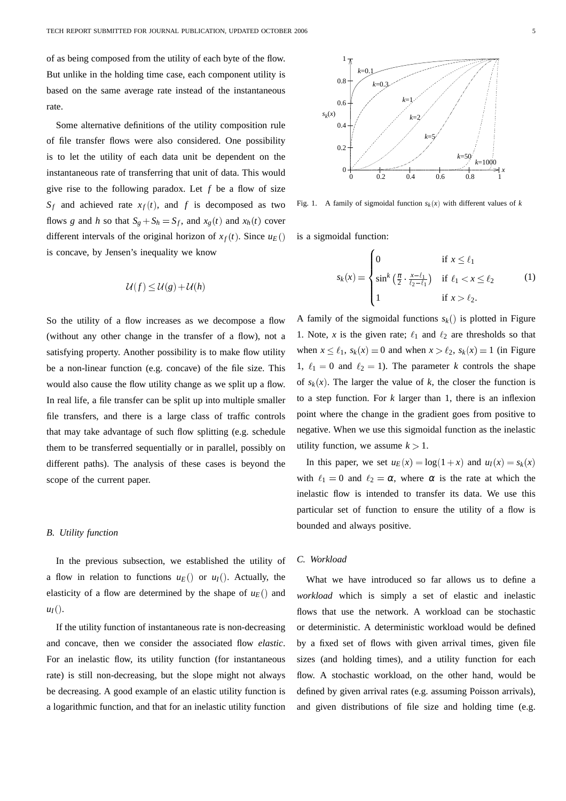of as being composed from the utility of each byte of the flow. But unlike in the holding time case, each component utility is based on the same average rate instead of the instantaneous rate.

Some alternative definitions of the utility composition rule of file transfer flows were also considered. One possibility is to let the utility of each data unit be dependent on the instantaneous rate of transferring that unit of data. This would give rise to the following paradox. Let *f* be a flow of size  $S_f$  and achieved rate  $x_f(t)$ , and *f* is decomposed as two flows *g* and *h* so that  $S_g + S_h = S_f$ , and  $x_g(t)$  and  $x_h(t)$  cover different intervals of the original horizon of  $x_f(t)$ . Since  $u_E$  $\mathcal{L}$  and  $\mathcal{L}$ is concave, by Jensen's inequality we know

$$
\mathcal{U}(f) \le \mathcal{U}(g) + \mathcal{U}(h)
$$

So the utility of a flow increases as we decompose a flow (without any other change in the transfer of a flow), not a satisfying property. Another possibility is to make flow utility be a non-linear function (e.g. concave) of the file size. This would also cause the flow utility change as we split up a flow. In real life, a file transfer can be split up into multiple smaller file transfers, and there is a large class of traffic controls that may take advantage of such flow splitting (e.g. schedule them to be transferred sequentially or in parallel, possibly on different paths). The analysis of these cases is beyond the scope of the current paper.

#### *B. Utility function*

In the previous subsection, we established the utility of a flow in relation to functions  $u_E()$  or  $u_I()$ . Actually, the elasticity of a flow are determined by the shape of  $u_E()$  and  $u_I(.)$ .

If the utility function of instantaneous rate is non-decreasing and concave, then we consider the associated flow *elastic*. For an inelastic flow, its utility function (for instantaneous rate) is still non-decreasing, but the slope might not always be decreasing. A good example of an elastic utility function is a logarithmic function, and that for an inelastic utility function



Fig. 1. A family of sigmoidal function  $s_k(x)$  with different values of *k* 

is a sigmoidal function:

$$
s_k(x) = \begin{cases} 0 & \text{if } x \le \ell_1 \\ \sin^k \left( \frac{\pi}{2} \cdot \frac{x - \ell_1}{\ell_2 - \ell_1} \right) & \text{if } \ell_1 < x \le \ell_2 \\ 1 & \text{if } x > \ell_2. \end{cases} \tag{1}
$$

A family of the sigmoidal functions  $s_k()$  is plotted in Figure 1. Note, *x* is the given rate;  $\ell_1$  and  $\ell_2$  are thresholds so that when  $x \leq \ell_1$ ,  $s_k(x) = 0$  and when  $x > \ell_2$ ,  $s_k(x) = 1$  (in Figure 1,  $\ell_1 = 0$  and  $\ell_2 = 1$ ). The parameter *k* controls the shape of  $s_k(x)$ . The larger the value of *k*, the closer the function is to a step function. For *k* larger than 1, there is an inflexion point where the change in the gradient goes from positive to negative. When we use this sigmoidal function as the inelastic utility function, we assume  $k > 1$ .

In this paper, we set  $u_E(x) = \log(1+x)$  and  $u_I(x) = s_k(x)$ with  $\ell_1 = 0$  and  $\ell_2 = \alpha$ , where  $\alpha$  is the rate at which the inelastic flow is intended to transfer its data. We use this particular set of function to ensure the utility of a flow is bounded and always positive.

#### *C. Workload*

What we have introduced so far allows us to define a *workload* which is simply a set of elastic and inelastic flows that use the network. A workload can be stochastic or deterministic. A deterministic workload would be defined by a fixed set of flows with given arrival times, given file sizes (and holding times), and a utility function for each flow. A stochastic workload, on the other hand, would be defined by given arrival rates (e.g. assuming Poisson arrivals), and given distributions of file size and holding time (e.g.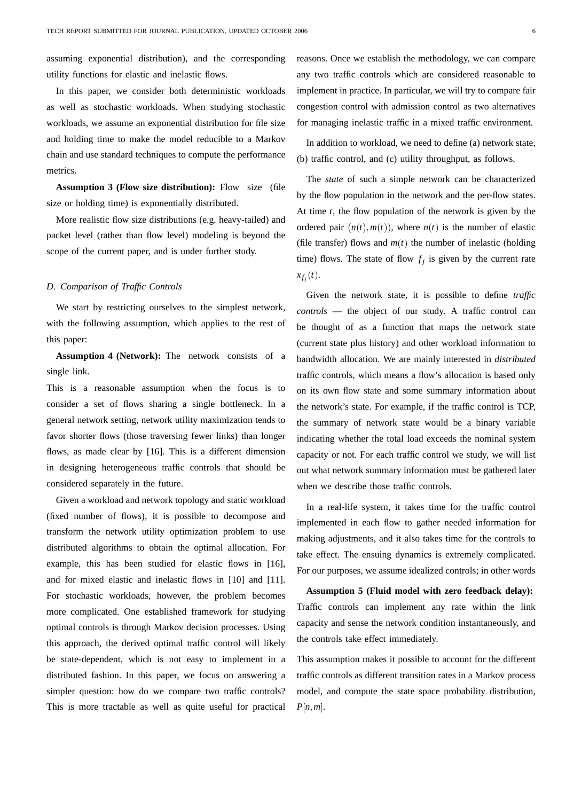assuming exponential distribution), and the corresponding utility functions for elastic and inelastic flows.

In this paper, we consider both deterministic workloads as well as stochastic workloads. When studying stochastic workloads, we assume an exponential distribution for file size and holding time to make the model reducible to a Markov chain and use standard techniques to compute the performance metrics.

**Assumption 3 (Flow size distribution):** Flow size (file size or holding time) is exponentially distributed.

More realistic flow size distributions (e.g. heavy-tailed) and packet level (rather than flow level) modeling is beyond the scope of the current paper, and is under further study.

# *D. Comparison of Traffic Controls*

We start by restricting ourselves to the simplest network, with the following assumption, which applies to the rest of this paper:

**Assumption 4 (Network):** The network consists of a single link.

This is a reasonable assumption when the focus is to consider a set of flows sharing a single bottleneck. In a general network setting, network utility maximization tends to favor shorter flows (those traversing fewer links) than longer flows, as made clear by [16]. This is a different dimension in designing heterogeneous traffic controls that should be considered separately in the future.

Given a workload and network topology and static workload (fixed number of flows), it is possible to decompose and transform the network utility optimization problem to use distributed algorithms to obtain the optimal allocation. For example, this has been studied for elastic flows in [16], and for mixed elastic and inelastic flows in [10] and [11]. For stochastic workloads, however, the problem becomes more complicated. One established framework for studying optimal controls is through Markov decision processes. Using this approach, the derived optimal traffic control will likely be state-dependent, which is not easy to implement in a distributed fashion. In this paper, we focus on answering a simpler question: how do we compare two traffic controls? This is more tractable as well as quite useful for practical reasons. Once we establish the methodology, we can compare any two traffic controls which are considered reasonable to implement in practice. In particular, we will try to compare fair congestion control with admission control as two alternatives for managing inelastic traffic in a mixed traffic environment.

In addition to workload, we need to define (a) network state, (b) traffic control, and (c) utility throughput, as follows.

The *state* of such a simple network can be characterized by the flow population in the network and the per-flow states. At time *t*, the flow population of the network is given by the ordered pair  $(n(t), m(t))$ , where  $n(t)$  is the number of elastic (file transfer) flows and  $m(t)$  the number of inelastic (holding time) flows. The state of flow  $f_j$  is given by the current rate  $x_{f_j}(t)$ .

Given the network state, it is possible to define *traffic controls* — the object of our study. A traffic control can be thought of as a function that maps the network state (current state plus history) and other workload information to bandwidth allocation. We are mainly interested in *distributed* traffic controls, which means a flow's allocation is based only on its own flow state and some summary information about the network's state. For example, if the traffic control is TCP, the summary of network state would be a binary variable indicating whether the total load exceeds the nominal system capacity or not. For each traffic control we study, we will list out what network summary information must be gathered later when we describe those traffic controls.

In a real-life system, it takes time for the traffic control implemented in each flow to gather needed information for making adjustments, and it also takes time for the controls to take effect. The ensuing dynamics is extremely complicated. For our purposes, we assume idealized controls; in other words

**Assumption 5 (Fluid model with zero feedback delay):** Traffic controls can implement any rate within the link capacity and sense the network condition instantaneously, and the controls take effect immediately.

This assumption makes it possible to account for the different traffic controls as different transition rates in a Markov process model, and compute the state space probability distribution,  $P[n,m]$ .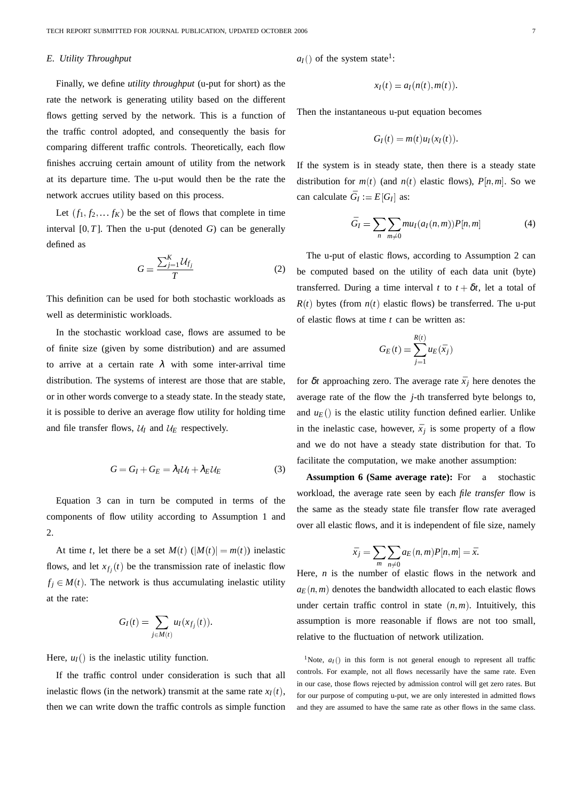# *E. Utility Throughput*

Finally, we define *utility throughput* (u-put for short) as the rate the network is generating utility based on the different flows getting served by the network. This is a function of the traffic control adopted, and consequently the basis for comparing different traffic controls. Theoretically, each flow finishes accruing certain amount of utility from the network at its departure time. The u-put would then be the rate the network accrues utility based on this process.

Let  $(f_1, f_2, \ldots, f_k)$  be the set of flows that complete in time interval  $[0, T]$ . Then the u-put (denoted *G*) can be generally defined as

$$
G = \frac{\sum_{j=1}^{K} \mathcal{U}_{f_j}}{T} \tag{2}
$$

This definition can be used for both stochastic workloads as well as deterministic workloads.

In the stochastic workload case, flows are assumed to be of finite size (given by some distribution) and are assumed to arrive at a certain rate  $\lambda$  with some inter-arrival time distribution. The systems of interest are those that are stable, or in other words converge to a steady state. In the steady state, it is possible to derive an average flow utility for holding time and file transfer flows,  $U_I$  and  $U_E$  respectively.

$$
G = G_I + G_E = \lambda_I \mathcal{U}_I + \lambda_E \mathcal{U}_E \tag{3}
$$

Equation 3 can in turn be computed in terms of the components of flow utility according to Assumption 1 and 2.

At time *t*, let there be a set  $M(t)$   $(|M(t)| = m(t))$  inelastic flows, and let  $x_{f_j}(t)$  be the transmission rate of inelastic flow  $f_j \in M(t)$ . The network is thus accumulating inelastic utility at the rate:

$$
G_I(t) = \sum_{j \in M(t)} u_I(x_{f_j}(t)).
$$

Here,  $u_I()$  is the inelastic utility function.

If the traffic control under consideration is such that all inelastic flows (in the network) transmit at the same rate  $x_I(t)$ ,  $t_I(t)$ then we can write down the traffic controls as simple function

 $a_I()$  of the system state<sup>1</sup>:

$$
x_I(t) = a_I(n(t), m(t)).
$$

Then the instantaneous u-put equation becomes

$$
G_I(t) = m(t)u_I(x_I(t)).
$$

If the system is in steady state, then there is a steady state distribution for  $m(t)$  (and  $n(t)$  elastic flows),  $P[n,m]$ . So we can calculate  $\bar{G}_I := E[G_I]$  as:

$$
\bar{G}_I = \sum_{n} \sum_{m \neq 0} m u_I(a_I(n,m)) P[n,m] \tag{4}
$$

The u-put of elastic flows, according to Assumption 2 can be computed based on the utility of each data unit (byte) transferred. During a time interval *t* to  $t + \delta t$ , let a total of  $R(t)$  bytes (from  $n(t)$  elastic flows) be transferred. The u-put of elastic flows at time *t* can be written as:

$$
G_E(t) = \sum_{j=1}^{R(t)} u_E(\bar{x}_j)
$$

for  $\delta t$  approaching zero. The average rate  $\bar{x}_i$  here denotes the average rate of the flow the *j*-th transferred byte belongs to, and  $u_E$ () is the elastic utility function defined earlier. Unlike in the inelastic case, however,  $\bar{x}_j$  is some property of a flow and we do not have a steady state distribution for that. To facilitate the computation, we make another assumption:

**Assumption 6 (Same average rate):** For a stochastic workload, the average rate seen by each *file transfer* flow is the same as the steady state file transfer flow rate averaged over all elastic flows, and it is independent of file size, namely

$$
\bar{x}_j = \sum_m \sum_{n \neq 0} a_E(n,m) P[n,m] = \bar{x}.
$$

Here, *n* is the number of elastic flows in the network and  $a_E(n,m)$  denotes the bandwidth allocated to each elastic flows under certain traffic control in state  $(n, m)$ . Intuitively, this assumption is more reasonable if flows are not too small, relative to the fluctuation of network utilization.

<sup>1</sup>Note,  $a_I$ () in this form is not general enough to represent all traffic controls. For example, not all flows necessarily have the same rate. Even in our case, those flows rejected by admission control will get zero rates. But for our purpose of computing u-put, we are only interested in admitted flows and they are assumed to have the same rate as other flows in the same class.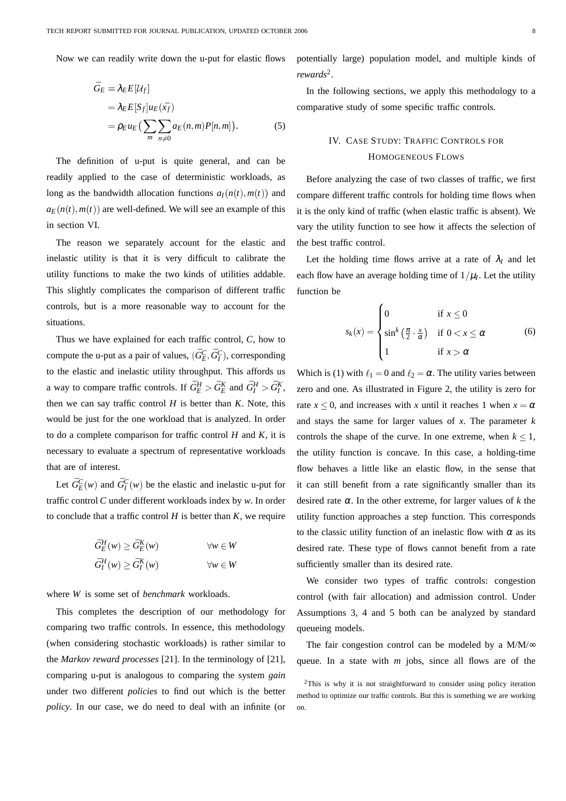Now we can readily write down the u-put for elastic flows

$$
\bar{G}_E = \lambda_E E[\mathcal{U}_f]
$$
  
=  $\lambda_E E[S_f] u_E(\bar{x}_f)$   
=  $\rho_E u_E \left( \sum_m \sum_{n \neq 0} a_E(n, m) P[n, m] \right).$  (5)

The definition of u-put is quite general, and can be readily applied to the case of deterministic workloads, as long as the bandwidth allocation functions  $a_I(n(t), m(t))$  and  $a_E(n(t), m(t))$  are well-defined. We will see an example of this in section VI.

The reason we separately account for the elastic and inelastic utility is that it is very difficult to calibrate the utility functions to make the two kinds of utilities addable. This slightly complicates the comparison of different traffic controls, but is a more reasonable way to account for the situations.

Thus we have explained for each traffic control, *C*, how to compute the u-put as a pair of values,  $(\bar{G}_{E}^{C}, \bar{G}_{I}^{C})$ , corresponding to the elastic and inelastic utility throughput. This affords us a way to compare traffic controls. If  $\bar{G}_{E}^{H} > \bar{G}_{E}^{K}$  and  $\bar{G}_{I}^{H} > \bar{G}_{I}^{K}$ , zero an then we can say traffic control  $H$  is better than  $K$ . Note, this would be just for the one workload that is analyzed. In order to do a complete comparison for traffic control *H* and *K*, it is necessary to evaluate a spectrum of representative workloads that are of interest.

Let  $\bar{G}_{E}^{C}(w)$  and  $\bar{G}_{I}^{C}(w)$  be the elastic and inelastic u-put for traffic control *C* under different workloads index by *w*. In order to conclude that a traffic control  $H$  is better than  $K$ , we require

$$
\begin{aligned}\n\bar{G}_E^H(w) &\ge \bar{G}_E^K(w) && \forall w \in W \\
\bar{G}_I^H(w) &\ge \bar{G}_I^K(w) && \forall w \in W\n\end{aligned}
$$

where *W* is some set of *benchmark* workloads.

This completes the description of our methodology for comparing two traffic controls. In essence, this methodology (when considering stochastic workloads) is rather similar to the *Markov reward processes* [21]. In the terminology of [21], comparing u-put is analogous to comparing the system *gain* under two different *policies* to find out which is the better *policy*. In our case, we do need to deal with an infinite (or potentially large) population model, and multiple kinds of *rewards*<sup>2</sup> .

In the following sections, we apply this methodology to a comparative study of some specific traffic controls.

# IV. CASE STUDY: TRAFFIC CONTROLS FOR HOMOGENEOUS FLOWS

Before analyzing the case of two classes of traffic, we first compare different traffic controls for holding time flows when it is the only kind of traffic (when elastic traffic is absent). We vary the utility function to see how it affects the selection of the best traffic control.

Let the holding time flows arrive at a rate of  $\lambda_I$  and let each flow have an average holding time of  $1/\mu_I$ . Let the utility function be

$$
s_k(x) = \begin{cases} 0 & \text{if } x \le 0\\ \sin^k\left(\frac{\pi}{2} \cdot \frac{x}{\alpha}\right) & \text{if } 0 < x \le \alpha\\ 1 & \text{if } x > \alpha \end{cases}
$$
 (6)

Which is (1) with  $\ell_1 = 0$  and  $\ell_2 = \alpha$ . The utility varies between zero and one. As illustrated in Figure 2, the utility is zero for rate  $x \leq 0$ , and increases with x until it reaches 1 when  $x = \alpha$ and stays the same for larger values of *x*. The parameter *k* controls the shape of the curve. In one extreme, when  $k \leq 1$ , the utility function is concave. In this case, a holding-time flow behaves a little like an elastic flow, in the sense that it can still benefit from a rate significantly smaller than its desired rate  $\alpha$ . In the other extreme, for larger values of *k* the utility function approaches a step function. This corresponds to the classic utility function of an inelastic flow with  $\alpha$  as its desired rate. These type of flows cannot benefit from a rate sufficiently smaller than its desired rate.

We consider two types of traffic controls: congestion control (with fair allocation) and admission control. Under Assumptions 3, 4 and 5 both can be analyzed by standard queueing models.

The fair congestion control can be modeled by a  $M/M/\infty$ queue. In a state with *m* jobs, since all flows are of the

<sup>&</sup>lt;sup>2</sup>This is why it is not straightforward to consider using policy iteration method to optimize our traffic controls. But this is something we are working on.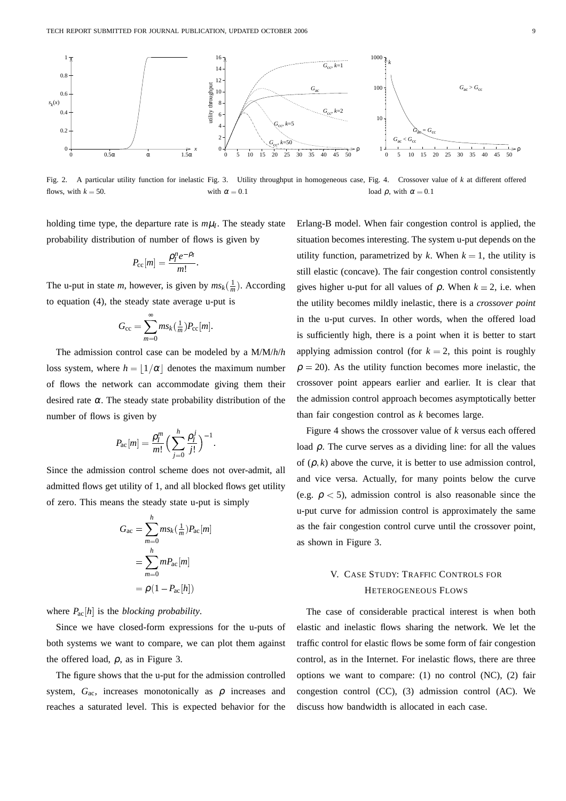

Fig. 2. A particular utility function for inelastic Fig. 3. Utility throughput in homogeneous case, Fig. 4. Crossover value of *k* at different offered flows, with  $k = 50$ . with  $\alpha = 0.1$ load  $\rho$ , with  $\alpha = 0.1$ 

holding time type, the departure rate is  $m\mu$ <sup>*I*</sup>. The steady state probability distribution of number of flows is given by

$$
P_{\rm cc}[m] = \frac{\rho_I^n e^{-\rho_I}}{m!}.
$$

The u-put in state *m*, however, is given by  $ms_k(\frac{1}{m})$ . According to equation (4), the steady state average u-put is

$$
G_{\rm cc} = \sum_{m=0}^{\infty} m s_k(\frac{1}{m}) P_{\rm cc}[m].
$$

The admission control case can be modeled by a M/M/*h*/*h* loss system, where  $h = |1/\alpha|$  denotes the maximum number of flows the network can accommodate giving them their desired rate  $\alpha$ . The steady state probability distribution of the number of flows is given by

$$
P_{\text{ac}}[m] = \frac{\rho_I^m}{m!} \Big(\sum_{j=0}^h \frac{\rho_I^j}{j!}\Big)^{-1}.
$$

Since the admission control scheme does not over-admit, all admitted flows get utility of 1, and all blocked flows get utility of zero. This means the steady state u-put is simply

$$
G_{\text{ac}} = \sum_{m=0}^{h} m s_k \left(\frac{1}{m}\right) P_{\text{ac}}[m]
$$

$$
= \sum_{m=0}^{h} m P_{\text{ac}}[m]
$$

$$
= \rho \left(1 - P_{\text{ac}}[h]\right)
$$

where  $P_{ac}[h]$  is the *blocking probability*.

Since we have closed-form expressions for the u-puts of both systems we want to compare, we can plot them against the offered load,  $\rho$ , as in Figure 3.

The figure shows that the u-put for the admission controlled system,  $G_{ac}$ , increases monotonically as  $\rho$  increases and reaches a saturated level. This is expected behavior for the Erlang-B model. When fair congestion control is applied, the situation becomes interesting. The system u-put depends on the utility function, parametrized by *k*. When  $k = 1$ , the utility is still elastic (concave). The fair congestion control consistently gives higher u-put for all values of  $\rho$ . When  $k = 2$ , i.e. when the utility becomes mildly inelastic, there is a *crossover point* in the u-put curves. In other words, when the offered load is sufficiently high, there is a point when it is better to start applying admission control (for  $k = 2$ , this point is roughly  $\rho = 20$ ). As the utility function becomes more inelastic, the crossover point appears earlier and earlier. It is clear that the admission control approach becomes asymptotically better than fair congestion control as *k* becomes large.

Figure 4 shows the crossover value of *k* versus each offered load  $\rho$ . The curve serves as a dividing line: for all the values of  $(\rho, k)$  above the curve, it is better to use admission control, and vice versa. Actually, for many points below the curve (e.g.  $\rho < 5$ ), admission control is also reasonable since the u-put curve for admission control is approximately the same as the fair congestion control curve until the crossover point, as shown in Figure 3.

# V. CASE STUDY: TRAFFIC CONTROLS FOR HETEROGENEOUS FLOWS

The case of considerable practical interest is when both elastic and inelastic flows sharing the network. We let the traffic control for elastic flows be some form of fair congestion control, as in the Internet. For inelastic flows, there are three options we want to compare: (1) no control (NC), (2) fair congestion control (CC), (3) admission control (AC). We discuss how bandwidth is allocated in each case.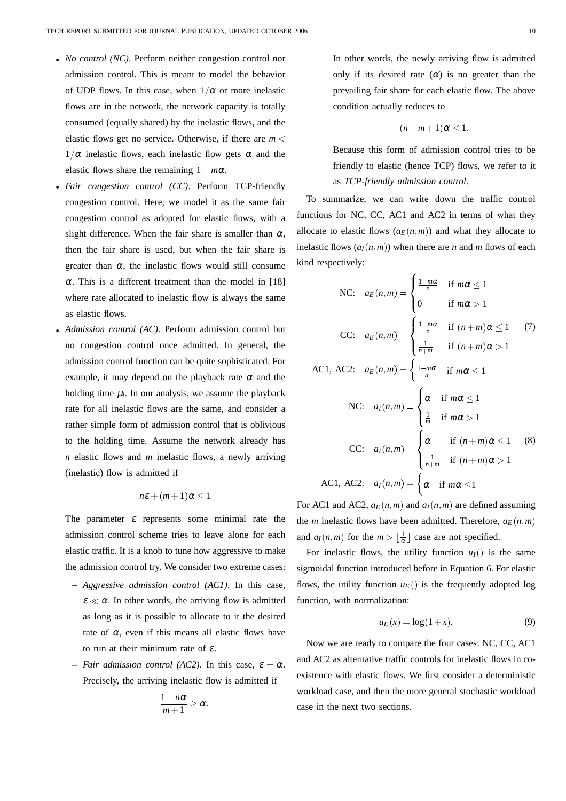- *No control (NC)*. Perform neither congestion control nor admission control. This is meant to model the behavior of UDP flows. In this case, when  $1/\alpha$  or more inelastic flows are in the network, the network capacity is totally consumed (equally shared) by the inelastic flows, and the elastic flows get no service. Otherwise, if there are  $m <$  $1/\alpha$  inelastic flows, each inelastic flow gets  $\alpha$  and the elastic flows share the remaining  $1 - m\alpha$ .
- *Fair congestion control (CC)*. Perform TCP-friendly congestion control. Here, we model it as the same fair congestion control as adopted for elastic flows, with a slight difference. When the fair share is smaller than  $\alpha$ , then the fair share is used, but when the fair share is greater than  $\alpha$ , the inelastic flows would still consume  $\alpha$ . This is a different treatment than the model in [18] where rate allocated to inelastic flow is always the same as elastic flows.
- *Admission control (AC)*. Perform admission control but no congestion control once admitted. In general, the admission control function can be quite sophisticated. For example, it may depend on the playback rate  $\alpha$  and the holding time  $\mu_i$ . In our analysis, we assume the playback rate for all inelastic flows are the same, and consider a rather simple form of admission control that is oblivious to the holding time. Assume the network already has *n* elastic flows and *m* inelastic flows, a newly arriving (inelastic) flow is admitted if

$$
n\varepsilon + (m+1)\alpha \le 1
$$

The parameter  $\varepsilon$  represents some minimal rate the admission control scheme tries to leave alone for each elastic traffic. It is a knob to tune how aggressive to make the admission control try. We consider two extreme cases:

- **–** *Aggressive admission control (AC1)*. In this case,  $\epsilon \ll \alpha$ . In other words, the arriving flow is admitted as long as it is possible to allocate to it the desired rate of α, even if this means all elastic flows have to run at their minimum rate of  $\varepsilon$ .
- **–** *Fair admission control (AC2)*. In this case,  $\varepsilon = \alpha$ . Precisely, the arriving inelastic flow is admitted if

$$
\frac{1-n\alpha}{m+1}\geq \alpha.
$$

In other words, the newly arriving flow is admitted only if its desired rate  $(\alpha)$  is no greater than the prevailing fair share for each elastic flow. The above condition actually reduces to

$$
(n+m+1)\alpha\leq 1.
$$

Because this form of admission control tries to be friendly to elastic (hence TCP) flows, we refer to it as *TCP-friendly admission control*.

To summarize, we can write down the traffic control functions for NC, CC, AC1 and AC2 in terms of what they allocate to elastic flows  $(a_E(n,m))$  and what they allocate to inelastic flows  $(a_I(n,m))$  when there are *n* and *m* flows of each kind respectively:

NC: 
$$
a_E(n,m) = \begin{cases} \frac{1-m\alpha}{n} & \text{if } m\alpha \le 1 \\ 0 & \text{if } m\alpha > 1 \end{cases}
$$
  
\nCC:  $a_E(n,m) = \begin{cases} \frac{1-m\alpha}{n} & \text{if } (n+m)\alpha \le 1 \\ \frac{1}{n+m} & \text{if } (n+m)\alpha > 1 \end{cases}$   
\nAC1, AC2:  $a_E(n,m) = \begin{cases} \frac{1-m\alpha}{n} & \text{if } m\alpha \le 1 \\ \frac{1}{m} & \text{if } m\alpha \le 1 \end{cases}$   
\nNC:  $a_I(n,m) = \begin{cases} \alpha & \text{if } m\alpha > 1 \\ \frac{1}{m} & \text{if } m\alpha > 1 \end{cases}$   
\nCC:  $a_I(n,m) = \begin{cases} \alpha & \text{if } (n+m)\alpha \le 1 \\ \frac{1}{n+m} & \text{if } (n+m)\alpha > 1 \end{cases}$   
\nAC1, AC2:  $a_I(n,m) = \begin{cases} \alpha & \text{if } m\alpha \le 1 \\ \alpha & \text{if } m\alpha \le 1 \end{cases}$ 

For AC1 and AC2,  $a_E(n,m)$  and  $a_I(n,m)$  are defined assuming the *m* inelastic flows have been admitted. Therefore,  $a_E(n,m)$ and  $a_I(n,m)$  for the  $m > \lfloor \frac{1}{\alpha} \rfloor$  case are not specified.

For inelastic flows, the utility function  $u_I()$  is the same sigmoidal function introduced before in Equation 6. For elastic flows, the utility function  $u_E()$  is the frequently adopted log function, with normalization:

$$
u_E(x) = \log(1+x). \tag{9}
$$

Now we are ready to compare the four cases: NC, CC, AC1 and AC2 as alternative traffic controls for inelastic flows in coexistence with elastic flows. We first consider a deterministic workload case, and then the more general stochastic workload case in the next two sections.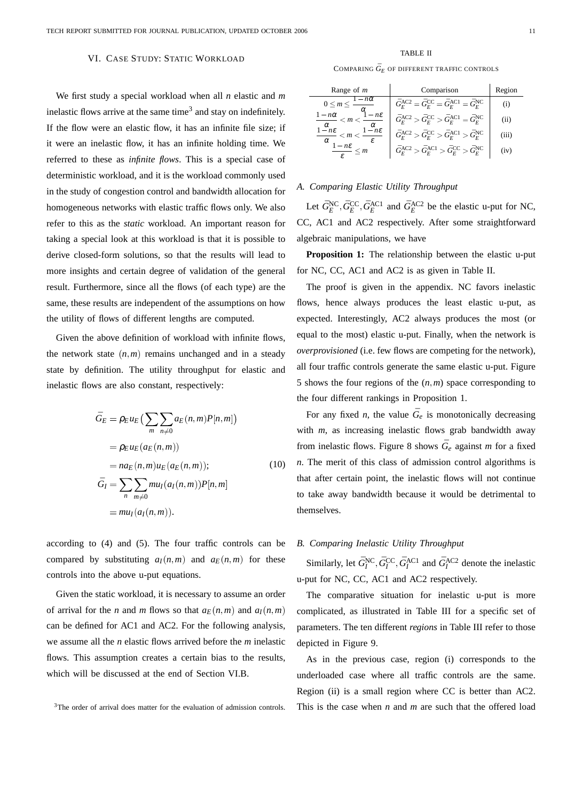# VI. CASE STUDY: STATIC WORKLOAD

We first study a special workload when all *n* elastic and *m* inelastic flows arrive at the same time<sup>3</sup> and stay on indefinitely. If the flow were an elastic flow, it has an infinite file size; if it were an inelastic flow, it has an infinite holding time. We referred to these as *infinite flows*. This is a special case of deterministic workload, and it is the workload commonly used in the study of congestion control and bandwidth allocation for homogeneous networks with elastic traffic flows only. We also refer to this as the *static* workload. An important reason for taking a special look at this workload is that it is possible to derive closed-form solutions, so that the results will lead to more insights and certain degree of validation of the general result. Furthermore, since all the flows (of each type) are the same, these results are independent of the assumptions on how the utility of flows of different lengths are computed.

Given the above definition of workload with infinite flows, the network state  $(n, m)$  remains unchanged and in a steady state by definition. The utility throughput for elastic and inelastic flows are also constant, respectively:

$$
\bar{G}_E = \rho_E u_E \left( \sum_m \sum_{n \neq 0} a_E(n, m) P[n, m] \right)
$$
  
=  $\rho_E u_E(a_E(n, m))$   
=  $na_E(n, m) u_E(a_E(n, m));$  (10)  

$$
\bar{G}_I = \sum_n \sum_{m \neq 0} m u_I(a_I(n, m)) P[n, m]
$$
  
=  $m u_I(a_I(n, m)).$ 

according to (4) and (5). The four traffic controls can be compared by substituting  $a_I(n,m)$  and  $a_E(n,m)$  for these controls into the above u-put equations.

Given the static workload, it is necessary to assume an order of arrival for the *n* and *m* flows so that  $a_E(n,m)$  and  $a_I(n,m)$  contains can be defined for AC1 and AC2. For the following analysis, we assume all the *n* elastic flows arrived before the *m* inelastic flows. This assumption creates a certain bias to the results, which will be discussed at the end of Section VI.B.

#### TABLE II

| COMPARING $G_F$ OF DIFFERENT TRAFFIC CONTROLS |  |
|-----------------------------------------------|--|
|-----------------------------------------------|--|

| Range of $m$                    | Comparison                                                                                            | Region |
|---------------------------------|-------------------------------------------------------------------------------------------------------|--------|
|                                 | $\bar{G}_{F}^{\rm AC2}=\bar{G}_{F}^{\rm CC}=\bar{G}_{F}^{\rm AC1}=\bar{G}_{F}^{\rm NC}$               | (1)    |
| $1-n\alpha$                     | $\bar{G}^{\text{AC2}}_E > \bar{G}^{\text{CC}}_E > \bar{G}^{\text{AC1}}_E = \bar{G}^{\text{NC}}_E$     | (i)    |
| $1-\frac{\alpha}{n\varepsilon}$ | $\bar{G}_{\!E}^{\rm AC2} > \bar{G}_{\!E}^{\rm CC} > \bar{G}_{\!E}^{\rm AC1} > \bar{G}_{\!E}^{\rm NC}$ | (iii)  |
|                                 | $\bar{G}_{\!E}^{\rm AC2} > \bar{G}_{\!E}^{\rm AC1} > \bar{G}_{\!E}^{\rm CC} > \bar{G}_{\!E}^{\rm NC}$ | (iv)   |

## *A. Comparing Elastic Utility Throughput*

Let  $\bar{G}_{E}^{\text{NC}}, \bar{G}_{E}^{\text{CC}}, \bar{G}_{E}^{\text{AC1}}$  and  $\bar{G}_{E}^{\text{AC2}}$  be the elastic u-put for NC, CC, AC1 and AC2 respectively. After some straightforward algebraic manipulations, we have

**Proposition 1:** The relationship between the elastic u-put for NC, CC, AC1 and AC2 is as given in Table II.

The proof is given in the appendix. NC favors inelastic flows, hence always produces the least elastic u-put, as expected. Interestingly, AC2 always produces the most (or equal to the most) elastic u-put. Finally, when the network is *overprovisioned* (i.e. few flows are competing for the network), all four traffic controls generate the same elastic u-put. Figure 5 shows the four regions of the  $(n, m)$  space corresponding to the four different rankings in Proposition 1.

For any fixed *n*, the value  $\overline{G}_e$  is monotonically decreasing with *m*, as increasing inelastic flows grab bandwidth away from inelastic flows. Figure 8 shows  $\bar{G}_e$  against *m* for a fixed *n*. The merit of this class of admission control algorithms is that after certain point, the inelastic flows will not continue to take away bandwidth because it would be detrimental to themselves.

## *B. Comparing Inelastic Utility Throughput*

Similarly, let  $\bar{G}_I^{\text{NC}}$ ,  $\bar{G}_I^{\text{AC}}$ ,  $\bar{G}_I^{\text{AC1}}$  and  $\bar{G}_I^{\text{AC2}}$  denote the inelastic u-put for NC, CC, AC1 and AC2 respectively.

The comparative situation for inelastic u-put is more complicated, as illustrated in Table III for a specific set of parameters. The ten different *regions* in Table III refer to those depicted in Figure 9.

As in the previous case, region (i) corresponds to the underloaded case where all traffic controls are the same. Region (ii) is a small region where CC is better than AC2. This is the case when *n* and *m* are such that the offered load

<sup>&</sup>lt;sup>3</sup>The order of arrival does matter for the evaluation of admission controls.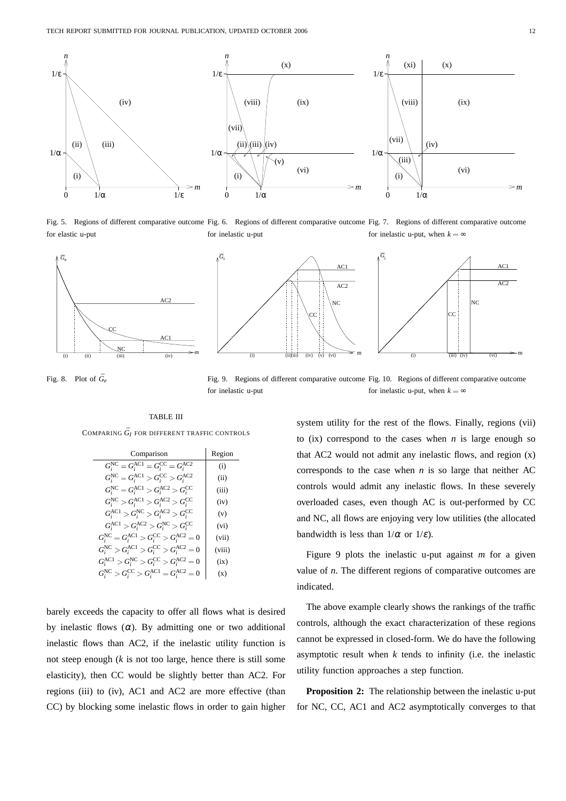

Fig. 5. Regions of different comparative outcome Fig. 6. Regions of different comparative outcome Fig. 7. Regions of different comparative outcome for elastic u-put for inelastic u-put







Fig. 8. Plot of  $\bar{G}_e$ 

Fig. 9. Regions of different comparative outcome Fig. 10. Regions of different comparative outcome for inelastic u-put for inelastic u-put, when  $k = \infty$ 

# TABLE III

 $\overline{\mathrm{C}}$ omparing  $\bar{G}_{I}$  for different traffic controls

| Comparison                                                        | Region |
|-------------------------------------------------------------------|--------|
| $G_i^{\rm NC} = G_i^{\rm AC1} = G_i^{\rm CC} = G_i^{\rm AC2}$     | (i)    |
| $G_i^{\rm NC} = G_i^{\rm AC1} > G_i^{\rm CC} > G_i^{\rm AC2}$     | (ii)   |
| $G_i^{\rm NC} = G_i^{\rm AC1} > G_i^{\rm AC2} > G_i^{\rm CC}$     | (iii)  |
| $G_i^{\rm NC} > G_i^{\rm AC1} > G_i^{\rm AC2} > G_i^{\rm CC}$     | (iv)   |
| $G_i^{\rm AC1} > G_i^{\rm NC} > G_i^{\rm AC2} > G_i^{\rm CC}$     | (v)    |
| $G_i^{\rm AC1} > G_i^{\rm AC2} > G_i^{\rm NC} > G_i^{\rm CC}$     | (vi)   |
| $G_i^{\rm NC} = G_i^{\rm AC1} > G_i^{\rm CC} > G_i^{\rm AC2} = 0$ | (vii)  |
| $G_i^{\rm NC} > G_i^{\rm AC1} > G_i^{\rm CC} > G_i^{\rm AC2} = 0$ | (viii) |
| $G_i^{\rm AC1} > G_i^{\rm NC} > G_i^{\rm CC} > G_i^{\rm AC2} = 0$ | (ix)   |
| $G_i^{\rm NC} > G_i^{\rm CC} > G_i^{\rm AC1} = G_i^{\rm AC2} = 0$ | (x)    |

barely exceeds the capacity to offer all flows what is desired by inelastic flows  $(\alpha)$ . By admitting one or two additional inelastic flows than AC2, if the inelastic utility function is not steep enough (*k* is not too large, hence there is still some elasticity), then CC would be slightly better than AC2. For regions (iii) to (iv), AC1 and AC2 are more effective (than CC) by blocking some inelastic flows in order to gain higher system utility for the rest of the flows. Finally, regions (vii) to  $(ix)$  correspond to the cases when *n* is large enough so that AC2 would not admit any inelastic flows, and region (x) corresponds to the case when  $n$  is so large that neither AC controls would admit any inelastic flows. In these severely overloaded cases, even though AC is out-performed by CC and NC, all flows are enjoying very low utilities (the allocated bandwidth is less than  $1/\alpha$  or  $1/\epsilon$ ).

Figure 9 plots the inelastic u-put against *m* for a given value of *n*. The different regions of comparative outcomes are indicated.

The above example clearly shows the rankings of the traffic controls, although the exact characterization of these regions cannot be expressed in closed-form. We do have the following asymptotic result when  $k$  tends to infinity (i.e. the inelastic utility function approaches a step function.

**Proposition 2:** The relationship between the inelastic u-put for NC, CC, AC1 and AC2 asymptotically converges to that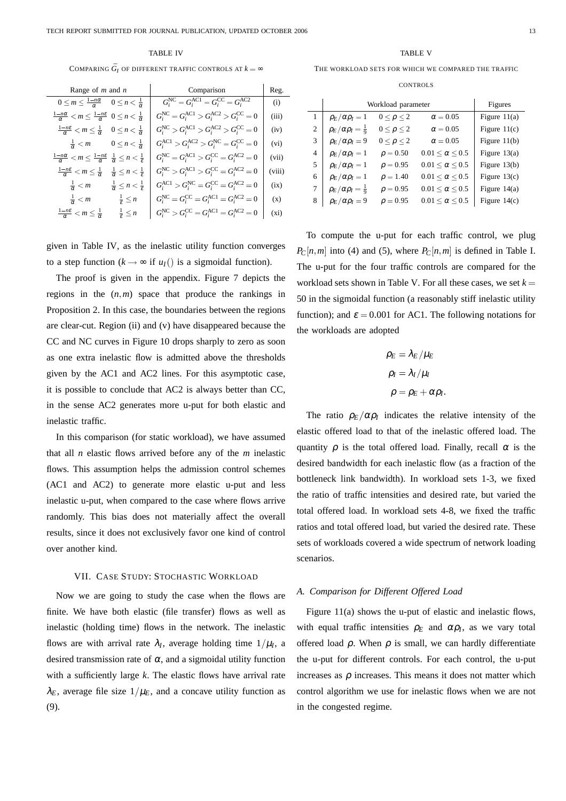#### TABLE IV

COMPARING  $\bar{G}_I$  of different traffic controls at  $k=\infty$ 

| Range of $m$ and $n$                                                                                              |                                                    | Comparison                                                        | Reg.    |
|-------------------------------------------------------------------------------------------------------------------|----------------------------------------------------|-------------------------------------------------------------------|---------|
| $0 \le m \le \frac{1-n\alpha}{\alpha}$ $0 \le n < \frac{1}{\alpha}$                                               |                                                    | $G_i^{\rm NC} = G_i^{\rm AC1} = G_i^{\rm CC} = G_i^{\rm AC2}$     | (i)     |
| $\frac{1-n\alpha}{\alpha} < m \leq \frac{1-n\varepsilon}{\alpha}$ $0 \leq n < \frac{1}{\alpha}$                   |                                                    | $G_i^{\rm NC} = G_i^{\rm AC1} > G_i^{\rm AC2} > G_i^{\rm CC} = 0$ | (iii)   |
| $\frac{1-n\varepsilon}{\alpha} < m \leq \frac{1}{\alpha}$ $0 \leq n < \frac{1}{\alpha}$                           |                                                    | $G_i^{\rm NC} > G_i^{\rm AC1} > G_i^{\rm AC2} > G_i^{\rm CC} = 0$ | (iv)    |
| $\frac{1}{\alpha}$ < m 0 $\leq$ n < $\frac{1}{\alpha}$                                                            |                                                    | $G_i^{\rm AC1} > G_i^{\rm AC2} > G_i^{\rm NC} = G_i^{\rm CC} = 0$ | $(v_i)$ |
| $\frac{1-n\alpha}{\alpha} < m \leq \frac{1-n\varepsilon}{\alpha} \frac{1}{\alpha} \leq n < \frac{1}{\varepsilon}$ |                                                    | $G_i^{\rm NC} = G_i^{\rm AC1} > G_i^{\rm CC} = G_i^{\rm AC2} = 0$ | (vii)   |
| $\frac{1-n\varepsilon}{\alpha} < m \leq \frac{1}{\alpha} \quad \frac{1}{\alpha} \leq n < \frac{1}{\varepsilon}$   |                                                    | $G_i^{\rm NC} > G_i^{\rm AC1} > G_i^{\rm CC} = G_i^{\rm AC2} = 0$ | (viii)  |
| $\frac{1}{\alpha}$ < m                                                                                            | $-\frac{1}{\alpha} \leq n < \frac{1}{\varepsilon}$ | $G_i^{\rm AC1} > G_i^{\rm NC} = G_i^{\rm CC} = G_i^{\rm AC2} = 0$ | (ix)    |
| $\frac{1}{\alpha} < m$ $\frac{1}{\epsilon} \leq n$                                                                |                                                    | $G_i^{\rm NC} = G_i^{\rm CC} = G_i^{\rm AC1} = G_i^{\rm AC2} = 0$ | (x)     |
| $\frac{1-n\varepsilon}{\alpha} < m \leq \frac{1}{\alpha}$                                                         | $rac{1}{e} \leq n$                                 | $G_i^{\rm NC} > G_i^{\rm CC} = G_i^{\rm AC1} = G_i^{\rm AC2} = 0$ | $(x_i)$ |

given in Table IV, as the inelastic utility function converges to a step function ( $k \rightarrow \infty$  if  $u_I()$  is a sigmoidal function).

The proof is given in the appendix. Figure 7 depicts the regions in the  $(n, m)$  space that produce the rankings in Proposition 2. In this case, the boundaries between the regions are clear-cut. Region (ii) and (v) have disappeared because the CC and NC curves in Figure 10 drops sharply to zero as soon as one extra inelastic flow is admitted above the thresholds given by the AC1 and AC2 lines. For this asymptotic case, it is possible to conclude that AC2 is always better than CC, in the sense AC2 generates more u-put for both elastic and inelastic traffic.

In this comparison (for static workload), we have assumed that all *n* elastic flows arrived before any of the *m* inelastic flows. This assumption helps the admission control schemes (AC1 and AC2) to generate more elastic u-put and less inelastic u-put, when compared to the case where flows arrive randomly. This bias does not materially affect the overall results, since it does not exclusively favor one kind of control over another kind.

## VII. CASE STUDY: STOCHASTIC WORKLOAD

Now we are going to study the case when the flows are finite. We have both elastic (file transfer) flows as well as inelastic (holding time) flows in the network. The inelastic flows are with arrival rate  $\lambda_I$ , average holding time  $1/\mu_I$ , a desired transmission rate of  $\alpha$ , and a sigmoidal utility function with a sufficiently large *k*. The elastic flows have arrival rate  $\lambda_E$ , average file size  $1/\mu_E$ , and a concave utility function as (9).

#### TABLE V

THE WORKLOAD SETS FOR WHICH WE COMPARED THE TRAFFIC

| CONTROLS |  |
|----------|--|
|----------|--|

|   |                                   | Workload parameter   |                             | Figures        |
|---|-----------------------------------|----------------------|-----------------------------|----------------|
|   | $\rho_E/\alpha\rho_I=1$           | $0 \leq \rho \leq 2$ | $\alpha = 0.05$             | Figure $11(a)$ |
| 2 | $\rho_E/\alpha\rho_I=\frac{1}{9}$ | $0 \leq \rho \leq 2$ | $\alpha = 0.05$             | Figure $11(c)$ |
| 3 | $\rho_E/\alpha\rho_I=9$           | $0 \leq \rho \leq 2$ | $\alpha = 0.05$             | Figure $11(b)$ |
| 4 | $\rho_E/\alpha\rho_I=1$           | $\rho = 0.50$        | $0.01 \leq \alpha \leq 0.5$ | Figure $13(a)$ |
| 5 | $\rho_E/\alpha\rho_I=1$           | $\rho = 0.95$        | $0.01 \leq \alpha \leq 0.5$ | Figure 13(b)   |
| 6 | $\rho_E/\alpha\rho_I=1$           | $\rho = 1.40$        | $0.01 \leq \alpha \leq 0.5$ | Figure $13(c)$ |
| 7 | $\rho_E/\alpha\rho_I=\frac{1}{9}$ | $\rho = 0.95$        | $0.01 \leq \alpha \leq 0.5$ | Figure $14(a)$ |
| 8 | $\rho_E/\alpha\rho_I=9$           | $\rho = 0.95$        | $0.01 \leq \alpha \leq 0.5$ | Figure $14(c)$ |

To compute the u-put for each traffic control, we plug  $P_C[n,m]$  into (4) and (5), where  $P_C[n,m]$  is defined in Table I. The u-put for the four traffic controls are compared for the workload sets shown in Table V. For all these cases, we set *k* 50 in the sigmoidal function (a reasonably stiff inelastic utility function); and  $\varepsilon = 0.001$  for AC1. The following notations for the workloads are adopted

$$
\rho_E = \lambda_E / \mu_E
$$
  
\n
$$
\rho_I = \lambda_I / \mu_I
$$
  
\n
$$
\rho = \rho_E + \alpha \rho_I.
$$

The ratio  $\rho_E/\alpha \rho_I$  indicates the relative intensity of the elastic offered load to that of the inelastic offered load. The quantity  $\rho$  is the total offered load. Finally, recall  $\alpha$  is the desired bandwidth for each inelastic flow (as a fraction of the bottleneck link bandwidth). In workload sets 1-3, we fixed the ratio of traffic intensities and desired rate, but varied the total offered load. In workload sets 4-8, we fixed the traffic ratios and total offered load, but varied the desired rate. These sets of workloads covered a wide spectrum of network loading scenarios.

#### *A. Comparison for Different Offered Load*

Figure 11(a) shows the u-put of elastic and inelastic flows, with equal traffic intensities  $\rho_E$  and  $\alpha \rho_I$ , as we vary total offered load  $\rho$ . When  $\rho$  is small, we can hardly differentiate the u-put for different controls. For each control, the u-put increases as  $\rho$  increases. This means it does not matter which control algorithm we use for inelastic flows when we are not in the congested regime.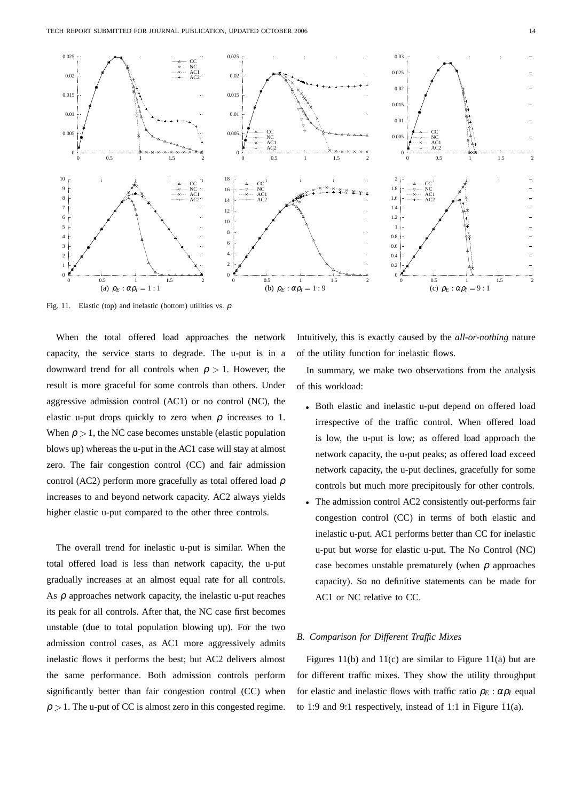

Fig. 11. Elastic (top) and inelastic (bottom) utilities vs.  $\rho$ 

When the total offered load approaches the network capacity, the service starts to degrade. The u-put is in a downward trend for all controls when  $\rho > 1$ . However, the result is more graceful for some controls than others. Under aggressive admission control (AC1) or no control (NC), the elastic u-put drops quickly to zero when  $\rho$  increases to 1. When  $\rho > 1$ , the NC case becomes unstable (elastic population blows up) whereas the u-put in the AC1 case will stay at almost zero. The fair congestion control (CC) and fair admission control (AC2) perform more gracefully as total offered load  $\rho$ increases to and beyond network capacity. AC2 always yields higher elastic u-put compared to the other three controls.

The overall trend for inelastic u-put is similar. When the total offered load is less than network capacity, the u-put gradually increases at an almost equal rate for all controls. As  $\rho$  approaches network capacity, the inelastic u-put reaches its peak for all controls. After that, the NC case first becomes unstable (due to total population blowing up). For the two admission control cases, as AC1 more aggressively admits inelastic flows it performs the best; but AC2 delivers almost the same performance. Both admission controls perform significantly better than fair congestion control (CC) when  $\rho > 1$ . The u-put of CC is almost zero in this congested regime.

Intuitively, this is exactly caused by the *all-or-nothing* nature of the utility function for inelastic flows.

In summary, we make two observations from the analysis of this workload:

- Both elastic and inelastic u-put depend on offered load irrespective of the traffic control. When offered load is low, the u-put is low; as offered load approach the network capacity, the u-put peaks; as offered load exceed network capacity, the u-put declines, gracefully for some controls but much more precipitously for other controls.
- The admission control AC2 consistently out-performs fair congestion control (CC) in terms of both elastic and inelastic u-put. AC1 performs better than CC for inelastic u-put but worse for elastic u-put. The No Control (NC) case becomes unstable prematurely (when  $\rho$  approaches capacity). So no definitive statements can be made for AC1 or NC relative to CC.

# *B. Comparison for Different Traffic Mixes*

Figures 11(b) and 11(c) are similar to Figure 11(a) but are for different traffic mixes. They show the utility throughput for elastic and inelastic flows with traffic ratio  $\rho_E : \alpha \rho_I$  equal to 1:9 and 9:1 respectively, instead of 1:1 in Figure 11(a).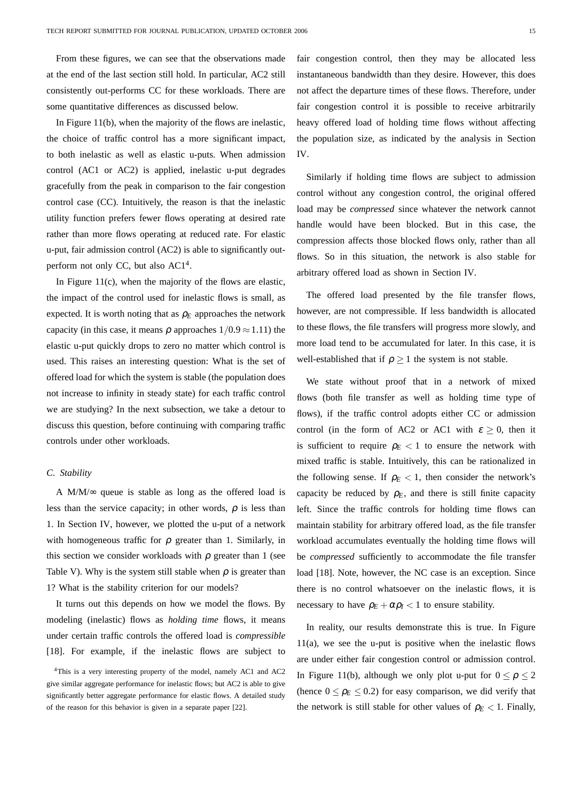From these figures, we can see that the observations made at the end of the last section still hold. In particular, AC2 still consistently out-performs CC for these workloads. There are some quantitative differences as discussed below.

In Figure 11(b), when the majority of the flows are inelastic, the choice of traffic control has a more significant impact, to both inelastic as well as elastic u-puts. When admission control (AC1 or AC2) is applied, inelastic u-put degrades gracefully from the peak in comparison to the fair congestion control case (CC). Intuitively, the reason is that the inelastic utility function prefers fewer flows operating at desired rate rather than more flows operating at reduced rate. For elastic u-put, fair admission control (AC2) is able to significantly outperform not only CC, but also AC1<sup>4</sup>.

In Figure  $11(c)$ , when the majority of the flows are elastic, the impact of the control used for inelastic flows is small, as expected. It is worth noting that as  $\rho_E$  approaches the network capacity (in this case, it means  $\rho$  approaches  $1/0.9 \approx 1.11$ ) the elastic u-put quickly drops to zero no matter which control is used. This raises an interesting question: What is the set of offered load for which the system is stable (the population does not increase to infinity in steady state) for each traffic control we are studying? In the next subsection, we take a detour to discuss this question, before continuing with comparing traffic controls under other workloads.

#### *C. Stability*

A M/M/∞ queue is stable as long as the offered load is less than the service capacity; in other words,  $\rho$  is less than 1. In Section IV, however, we plotted the u-put of a network with homogeneous traffic for  $\rho$  greater than 1. Similarly, in this section we consider workloads with  $\rho$  greater than 1 (see Table V). Why is the system still stable when  $\rho$  is greater than 1? What is the stability criterion for our models?

It turns out this depends on how we model the flows. By modeling (inelastic) flows as *holding time* flows, it means under certain traffic controls the offered load is *compressible* [18]. For example, if the inelastic flows are subject to fair congestion control, then they may be allocated less instantaneous bandwidth than they desire. However, this does not affect the departure times of these flows. Therefore, under fair congestion control it is possible to receive arbitrarily heavy offered load of holding time flows without affecting the population size, as indicated by the analysis in Section IV.

Similarly if holding time flows are subject to admission control without any congestion control, the original offered load may be *compressed* since whatever the network cannot handle would have been blocked. But in this case, the compression affects those blocked flows only, rather than all flows. So in this situation, the network is also stable for arbitrary offered load as shown in Section IV.

The offered load presented by the file transfer flows, however, are not compressible. If less bandwidth is allocated to these flows, the file transfers will progress more slowly, and more load tend to be accumulated for later. In this case, it is well-established that if  $\rho \geq 1$  the system is not stable.

We state without proof that in a network of mixed flows (both file transfer as well as holding time type of flows), if the traffic control adopts either CC or admission control (in the form of AC2 or AC1 with  $\varepsilon \geq 0$ , then it is sufficient to require  $\rho_E < 1$  to ensure the network with mixed traffic is stable. Intuitively, this can be rationalized in the following sense. If  $\rho_E < 1$ , then consider the network's capacity be reduced by  $\rho_E$ , and there is still finite capacity left. Since the traffic controls for holding time flows can maintain stability for arbitrary offered load, as the file transfer workload accumulates eventually the holding time flows will be *compressed* sufficiently to accommodate the file transfer load [18]. Note, however, the NC case is an exception. Since there is no control whatsoever on the inelastic flows, it is necessary to have  $\rho_E + \alpha \rho_I < 1$  to ensure stability.

In reality, our results demonstrate this is true. In Figure 11(a), we see the u-put is positive when the inelastic flows are under either fair congestion control or admission control. In Figure 11(b), although we only plot u-put for  $0 \le \rho \le 2$ (hence  $0 \le \rho_E \le 0.2$ ) for easy comparison, we did verify that the network is still stable for other values of  $\rho_E < 1$ . Finally,

<sup>4</sup>This is a very interesting property of the model, namely AC1 and AC2 give similar aggregate performance for inelastic flows; but AC2 is able to give significantly better aggregate performance for elastic flows. A detailed study of the reason for this behavior is given in a separate paper [22].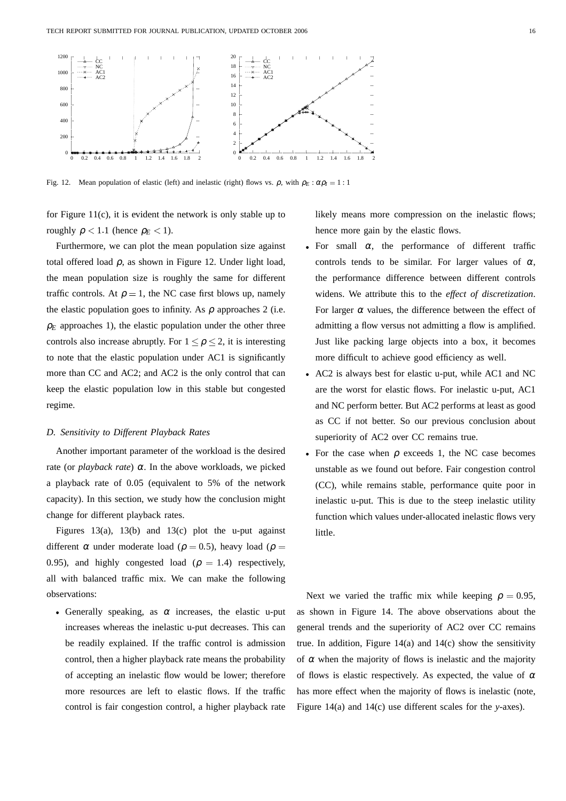

Fig. 12. Mean population of elastic (left) and inelastic (right) flows vs.  $\rho$ , with  $\rho_E : \alpha \rho_I = 1 : 1$ 

for Figure 11(c), it is evident the network is only stable up to roughly  $\rho < 1.1$  (hence  $\rho_E < 1$ ).

Furthermore, we can plot the mean population size against total offered load  $\rho$ , as shown in Figure 12. Under light load, the mean population size is roughly the same for different traffic controls. At  $\rho = 1$ , the NC case first blows up, namely the elastic population goes to infinity. As  $\rho$  approaches 2 (i.e.  $\rho_F$  approaches 1), the elastic population under the other three controls also increase abruptly. For  $1 \leq \rho \leq 2$ , it is interesting to note that the elastic population under AC1 is significantly more than CC and AC2; and AC2 is the only control that can keep the elastic population low in this stable but congested regime.

#### *D. Sensitivity to Different Playback Rates*

Another important parameter of the workload is the desired rate (or *playback rate*) <sup>α</sup>. In the above workloads, we picked a playback rate of  $0.05$  (equivalent to  $5\%$  of the network capacity). In this section, we study how the conclusion might change for different playback rates.

Figures 13(a), 13(b) and 13(c) plot the u-put against different  $\alpha$  under moderate load ( $\rho = 0.5$ ), heavy load ( $\rho =$ 0.95), and highly congested load ( $\rho = 1.4$ ) respectively, all with balanced traffic mix. We can make the following observations:

Generally speaking, as  $\alpha$  increases, the elastic u-put increases whereas the inelastic u-put decreases. This can be readily explained. If the traffic control is admission control, then a higher playback rate means the probability of accepting an inelastic flow would be lower; therefore more resources are left to elastic flows. If the traffic control is fair congestion control, a higher playback rate

likely means more compression on the inelastic flows; hence more gain by the elastic flows.

- For small  $\alpha$ , the performance of different traffic controls tends to be similar. For larger values of  $\alpha$ , the performance difference between different controls widens. We attribute this to the *effect of discretization*. For larger  $\alpha$  values, the difference between the effect of admitting a flow versus not admitting a flow is amplified. Just like packing large objects into a box, it becomes more difficult to achieve good efficiency as well.
- AC2 is always best for elastic u-put, while AC1 and NC are the worst for elastic flows. For inelastic u-put, AC1 and NC perform better. But AC2 performs at least as good as CC if not better. So our previous conclusion about superiority of AC2 over CC remains true.
- For the case when  $\rho$  exceeds 1, the NC case becomes unstable as we found out before. Fair congestion control (CC), while remains stable, performance quite poor in inelastic u-put. This is due to the steep inelastic utility function which values under-allocated inelastic flows very little.

Next we varied the traffic mix while keeping  $\rho = 0.95$ , as shown in Figure 14. The above observations about the general trends and the superiority of AC2 over CC remains true. In addition, Figure  $14(a)$  and  $14(c)$  show the sensitivity of  $\alpha$  when the majority of flows is inelastic and the majority of flows is elastic respectively. As expected, the value of  $\alpha$ has more effect when the majority of flows is inelastic (note, Figure 14(a) and 14(c) use different scales for the *y*-axes).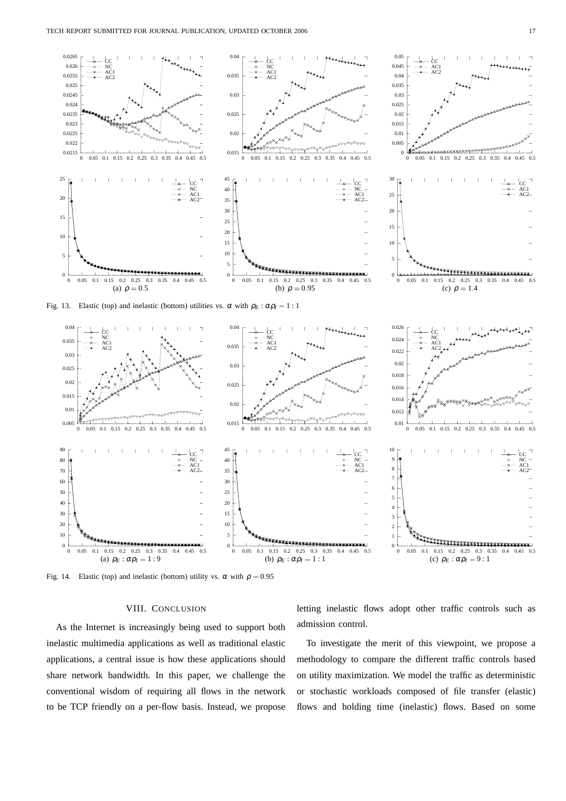

Fig. 14. Elastic (top) and inelastic (bottom) utility vs.  $\alpha$  with  $\rho = 0.95$ 

## VIII. CONCLUSION

As the Internet is increasingly being used to support both inelastic multimedia applications as well as traditional elastic applications, a central issue is how these applications should share network bandwidth. In this paper, we challenge the conventional wisdom of requiring all flows in the network to be TCP friendly on a per-flow basis. Instead, we propose

letting inelastic flows adopt other traffic controls such as admission control.

To investigate the merit of this viewpoint, we propose a methodology to compare the different traffic controls based on utility maximization. We model the traffic as deterministic or stochastic workloads composed of file transfer (elastic) flows and holding time (inelastic) flows. Based on some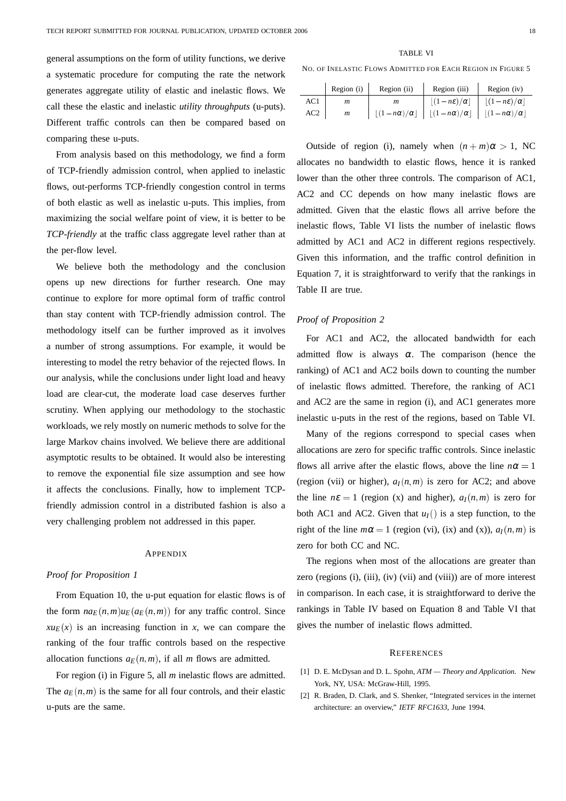general assumptions on the form of utility functions, we derive a systematic procedure for computing the rate the network generates aggregate utility of elastic and inelastic flows. We call these the elastic and inelastic *utility throughputs* (u-puts). Different traffic controls can then be compared based on comparing these u-puts.

From analysis based on this methodology, we find a form of TCP-friendly admission control, when applied to inelastic flows, out-performs TCP-friendly congestion control in terms of both elastic as well as inelastic u-puts. This implies, from maximizing the social welfare point of view, it is better to be *TCP-friendly* at the traffic class aggregate level rather than at the per-flow level.

We believe both the methodology and the conclusion opens up new directions for further research. One may continue to explore for more optimal form of traffic control than stay content with TCP-friendly admission control. The methodology itself can be further improved as it involves a number of strong assumptions. For example, it would be interesting to model the retry behavior of the rejected flows. In our analysis, while the conclusions under light load and heavy load are clear-cut, the moderate load case deserves further scrutiny. When applying our methodology to the stochastic workloads, we rely mostly on numeric methods to solve for the large Markov chains involved. We believe there are additional asymptotic results to be obtained. It would also be interesting to remove the exponential file size assumption and see how it affects the conclusions. Finally, how to implement TCPfriendly admission control in a distributed fashion is also a very challenging problem not addressed in this paper.

#### **APPENDIX**

#### *Proof for Proposition 1*

From Equation 10, the u-put equation for elastic flows is of the form  $na_E(n,m)u_E(a_E(n,m))$  for any traffic control. Since  $xu_E(x)$  is an increasing function in *x*, we can compare the ranking of the four traffic controls based on the respective allocation functions  $a_E(n,m)$ , if all *m* flows are admitted.

For region (i) in Figure 5, all *m* inelastic flows are admitted. The  $a_E(n,m)$  is the same for all four controls, and their elastic u-puts are the same.

#### TABLE VI

NO. OF INELASTIC FLOWS ADMITTED FOR EACH REGION IN FIGURE 5

|     | Region $(i)$     | Region (ii)    | Region (iii)                                                                                                               | Region (iv) |
|-----|------------------|----------------|----------------------------------------------------------------------------------------------------------------------------|-------------|
| AC1 | m                | $\mathfrak{m}$ | $\left  \left  (1-n\varepsilon)/\alpha \right  \right  \left  (1-n\varepsilon)/\alpha \right $                             |             |
| AC2 | $\boldsymbol{m}$ |                | $\lfloor (1-n\alpha)/\alpha \rfloor \rfloor \lfloor (1-n\alpha)/\alpha \rfloor \rfloor \lfloor (1-n\alpha)/\alpha \rfloor$ |             |

Outside of region (i), namely when  $(n + m)\alpha > 1$ , NC allocates no bandwidth to elastic flows, hence it is ranked lower than the other three controls. The comparison of AC1, AC2 and CC depends on how many inelastic flows are admitted. Given that the elastic flows all arrive before the inelastic flows, Table VI lists the number of inelastic flows admitted by AC1 and AC2 in different regions respectively. Given this information, and the traffic control definition in Equation 7, it is straightforward to verify that the rankings in Table II are true.

# *Proof of Proposition 2*

For AC1 and AC2, the allocated bandwidth for each admitted flow is always  $\alpha$ . The comparison (hence the ranking) of AC1 and AC2 boils down to counting the number of inelastic flows admitted. Therefore, the ranking of AC1 and AC2 are the same in region (i), and AC1 generates more inelastic u-puts in the rest of the regions, based on Table VI.

Many of the regions correspond to special cases when allocations are zero for specific traffic controls. Since inelastic flows all arrive after the elastic flows, above the line  $n\alpha = 1$ (region (vii) or higher),  $a_I(n,m)$  is zero for AC2; and above the line  $n\varepsilon = 1$  (region (x) and higher),  $a_I(n,m)$  is zero for both AC1 and AC2. Given that  $u_I()$  is a step function, to the right of the line  $m\alpha = 1$  (region (vi), (ix) and (x)),  $a_I(n,m)$  is zero for both CC and NC.

The regions when most of the allocations are greater than zero (regions (i), (iii), (iv) (vii) and (viii)) are of more interest in comparison. In each case, it is straightforward to derive the rankings in Table IV based on Equation 8 and Table VI that gives the number of inelastic flows admitted.

#### **REFERENCES**

- [1] D. E. McDysan and D. L. Spohn, *ATM — Theory and Application*. New York, NY, USA: McGraw-Hill, 1995.
- [2] R. Braden, D. Clark, and S. Shenker, "Integrated services in the internet architecture: an overview," *IETF RFC1633*, June 1994.